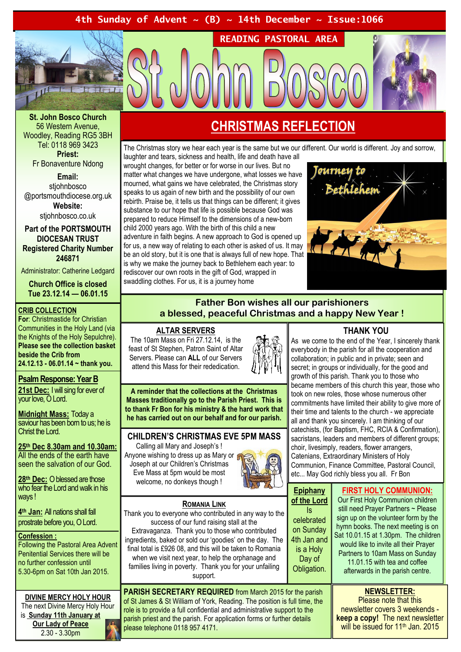## 4th Sunday of Advent  $\sim$  (B)  $\sim$  14th December  $\sim$  Issue:1066



St. John Bosco Church 56 Western Avenue, Woodley, Reading RG5 3BH Tel: 0118 969 3423 Priest: Fr Bonaventure Ndong

Email: stiohnbosco @portsmouthdiocese.org.uk Website: stiohnbosco.co.uk

Part of the PORTSMOUTH DIOCESAN TRUST Registered Charity Number 246871

Administrator: Catherine Ledgard

Church Office is closed Tue 23.12.14 — 06.01.15

#### CRIB COLLECTION

For: Christmastide for Christian Communities in the Holy Land (via the Knights of the Holy Sepulchre). Please see the collection basket beside the Crib from 24.12.13 - 06.01.14 ~ thank you.

# Psalm Response: Year B

21st Dec: I will sing for ever of your love, O Lord.

Midnight Mass: Today a saviour has been born to us; he is Christ the Lord.

25th Dec 8.30am and 10.30am: All the ends of the earth have seen the salvation of our God.

28<sup>th</sup> Dec: O blessed are those who fear the Lord and walk in his ways!

4<sup>th</sup> Jan: All nations shall fall prostrate before you, O Lord.

#### Confession :

Following the Pastoral Area Advent Penitential Services there will be no further confession until 5.30-6pm on Sat 10th Jan 2015.

# DIVINE MERCY HOLY HOUR

The next Divine Mercy Holy Hour is Sunday 11th January at Our Lady of Peace 2.30 - 3.30pm

# CHRISTMAS REFLECTION

READING PASTORAL AREA

The Christmas story we hear each year is the same but we our different. Our world is different. Joy and sorrow, laughter and tears, sickness and health, life and death have all

wrought changes, for better or for worse in our lives. But no matter what changes we have undergone, what losses we have mourned, what gains we have celebrated, the Christmas story speaks to us again of new birth and the possibility of our own rebirth. Praise be, it tells us that things can be different; it gives substance to our hope that life is possible because God was prepared to reduce Himself to the dimensions of a new-born child 2000 years ago. With the birth of this child a new adventure in faith begins. A new approach to God is opened up for us, a new way of relating to each other is asked of us. It may be an old story, but it is one that is always full of new hope. That is why we make the journey back to Bethlehem each year: to rediscover our own roots in the gift of God, wrapped in swaddling clothes. For us, it is a journey home



## Father Bon wishes all our parishioners a blessed, peaceful Christmas and a happy New Year !

#### ALTAR SERVERS

The 10am Mass on Fri 27.12.14, is the feast of St Stephen, Patron Saint of Altar Servers. Please can ALL of our Servers attend this Mass for their rededication.



A reminder that the collections at the Christmas Masses traditionally go to the Parish Priest. This is to thank Fr Bon for his ministry & the hard work that he has carried out on our behalf and for our parish.

#### CHILDREN'S CHRISTMAS EVE 5PM MASS

Calling all Mary and Joseph's ! Anyone wishing to dress up as Mary or Joseph at our Children's Christmas Eve Mass at 5pm would be most welcome, no donkeys though !



ROMANIA LINK Thank you to everyone who contributed in any way to the success of our fund raising stall at the Extravaganza. Thank you to those who contributed ingredients, baked or sold our 'goodies' on the day. The final total is £926 08, and this will be taken to Romania when we visit next year, to help the orphanage and families living in poverty. Thank you for your unfailing support.

PARISH SECRETARY REQUIRED from March 2015 for the parish of St James & St William of York, Reading. The position is full time, the role is to provide a full confidential and administrative support to the parish priest and the parish. For application forms or further details please telephone 0118 957 4171.

### THANK YOU

As we come to the end of the Year, I sincerely thank everybody in the parish for all the cooperation and collaboration; in public and in private; seen and secret; in groups or individually, for the good and growth of this parish. Thank you to those who became members of this church this year, those who took on new roles, those whose numerous other commitments have limited their ability to give more of their time and talents to the church - we appreciate all and thank you sincerely. I am thinking of our catechists, (for Baptism, FHC, RCIA & Confirmation), sacristans, leaders and members of different groups; choir, livesimply, readers, flower arrangers, Catenians, Extraordinary Ministers of Holy Communion, Finance Committee, Pastoral Council, etc... May God richly bless you all. Fr Bon

| <b>Epiphany</b><br>of the Lord<br>l۶<br>celebrated<br>on Sunday<br>4th Jan and<br>is a Holy<br>Day of<br>Obligation. | <b>FIRST HOLY COMMUNION:</b><br>Our First Holy Communion children<br>still need Prayer Partners ~ Please<br>sign up on the volunteer form by the<br>hymn books. The next meeting is on<br>Sat 10.01.15 at 1.30pm. The children<br>would like to invite all their Prayer<br>Partners to 10am Mass on Sunday<br>11.01.15 with tea and coffee<br>afterwards in the parish centre. |
|----------------------------------------------------------------------------------------------------------------------|--------------------------------------------------------------------------------------------------------------------------------------------------------------------------------------------------------------------------------------------------------------------------------------------------------------------------------------------------------------------------------|
|                                                                                                                      |                                                                                                                                                                                                                                                                                                                                                                                |

NEWSLETTER:

Please note that this newsletter covers 3 weekends keep a copy! The next newsletter will be issued for 11<sup>th</sup> Jan. 2015